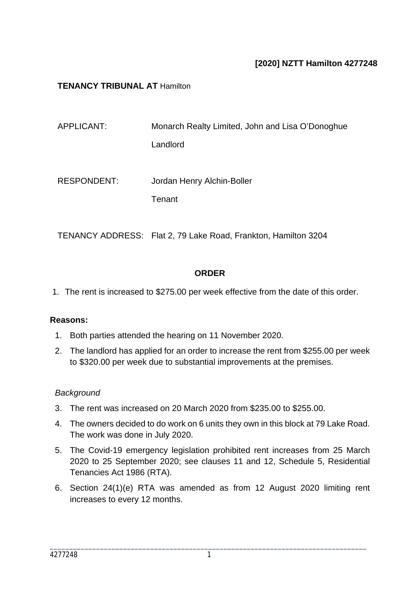# **[2020] NZTT Hamilton 4277248**

## **TENANCY TRIBUNAL AT** Hamilton

| APPLICANT:         | Monarch Realty Limited, John and Lisa O'Donoghue |
|--------------------|--------------------------------------------------|
|                    | Landlord                                         |
|                    |                                                  |
| <b>RESPONDENT:</b> | Jordan Henry Alchin-Boller                       |
|                    | Tenant                                           |
|                    |                                                  |

TENANCY ADDRESS: Flat 2, 79 Lake Road, Frankton, Hamilton 3204

## **ORDER**

1. The rent is increased to \$275.00 per week effective from the date of this order.

## **Reasons:**

- 1. Both parties attended the hearing on 11 November 2020.
- 2. The landlord has applied for an order to increase the rent from \$255.00 per week to \$320.00 per week due to substantial improvements at the premises.

## *Background*

- 3. The rent was increased on 20 March 2020 from \$235.00 to \$255.00.
- 4. The owners decided to do work on 6 units they own in this block at 79 Lake Road. The work was done in July 2020.
- 5. The Covid-19 emergency legislation prohibited rent increases from 25 March 2020 to 25 September 2020; see clauses 11 and 12, Schedule 5, Residential Tenancies Act 1986 (RTA).
- 6. Section 24(1)(e) RTA was amended as from 12 August 2020 limiting rent increases to every 12 months.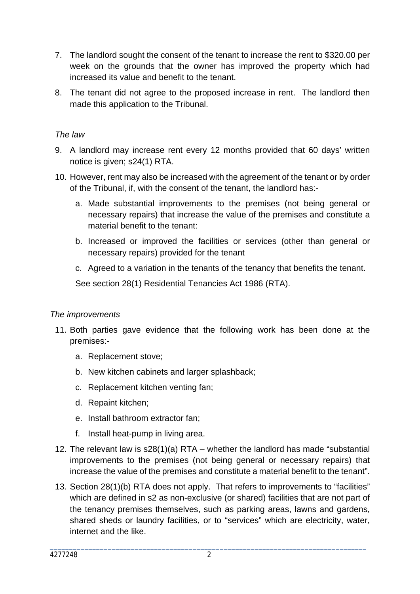- 7. The landlord sought the consent of the tenant to increase the rent to \$320.00 per week on the grounds that the owner has improved the property which had increased its value and benefit to the tenant.
- 8. The tenant did not agree to the proposed increase in rent. The landlord then made this application to the Tribunal.

## *The law*

- 9. A landlord may increase rent every 12 months provided that 60 days' written notice is given; s24(1) RTA.
- 10. However, rent may also be increased with the agreement of the tenant or by order of the Tribunal, if, with the consent of the tenant, the landlord has:
	- a. Made substantial improvements to the premises (not being general or necessary repairs) that increase the value of the premises and constitute a material benefit to the tenant:
	- b. Increased or improved the facilities or services (other than general or necessary repairs) provided for the tenant
	- c. Agreed to a variation in the tenants of the tenancy that benefits the tenant.

See section 28(1) Residential Tenancies Act 1986 (RTA).

## *The improvements*

- 11. Both parties gave evidence that the following work has been done at the premises:
	- a. Replacement stove;
	- b. New kitchen cabinets and larger splashback;
	- c. Replacement kitchen venting fan;
	- d. Repaint kitchen;
	- e. Install bathroom extractor fan;
	- f. Install heat-pump in living area.
- 12. The relevant law is s28(1)(a) RTA whether the landlord has made "substantial improvements to the premises (not being general or necessary repairs) that increase the value of the premises and constitute a material benefit to the tenant".
- 13. Section 28(1)(b) RTA does not apply. That refers to improvements to "facilities" which are defined in s2 as non-exclusive (or shared) facilities that are not part of the tenancy premises themselves, such as parking areas, lawns and gardens, shared sheds or laundry facilities, or to "services" which are electricity, water, internet and the like.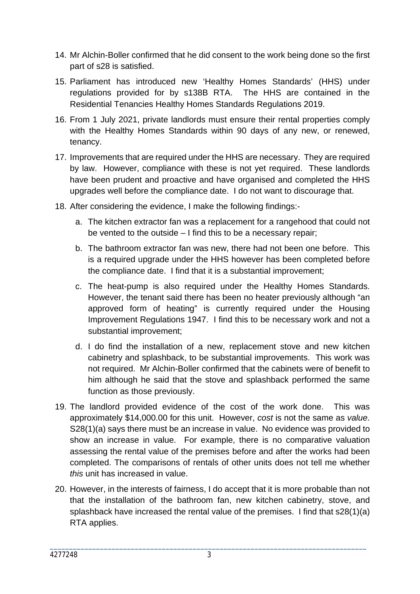- 14. Mr Alchin-Boller confirmed that he did consent to the work being done so the first part of s28 is satisfied.
- 15. Parliament has introduced new 'Healthy Homes Standards' (HHS) under regulations provided for by s138B RTA. The HHS are contained in the Residential Tenancies Healthy Homes Standards Regulations 2019.
- 16. From 1 July 2021, private landlords must ensure their rental properties comply with the Healthy Homes Standards within 90 days of any new, or renewed, tenancy.
- 17. Improvements that are required under the HHS are necessary. They are required by law. However, compliance with these is not yet required. These landlords have been prudent and proactive and have organised and completed the HHS upgrades well before the compliance date. I do not want to discourage that.
- 18. After considering the evidence, I make the following findings:
	- a. The kitchen extractor fan was a replacement for a rangehood that could not be vented to the outside – I find this to be a necessary repair;
	- b. The bathroom extractor fan was new, there had not been one before. This is a required upgrade under the HHS however has been completed before the compliance date. I find that it is a substantial improvement;
	- c. The heat-pump is also required under the Healthy Homes Standards. However, the tenant said there has been no heater previously although "an approved form of heating" is currently required under the Housing Improvement Regulations 1947. I find this to be necessary work and not a substantial improvement;
	- d. I do find the installation of a new, replacement stove and new kitchen cabinetry and splashback, to be substantial improvements. This work was not required. Mr Alchin-Boller confirmed that the cabinets were of benefit to him although he said that the stove and splashback performed the same function as those previously.
- 19. The landlord provided evidence of the cost of the work done. This was approximately \$14,000.00 for this unit. However, *cost* is not the same as *value*. S28(1)(a) says there must be an increase in value. No evidence was provided to show an increase in value. For example, there is no comparative valuation assessing the rental value of the premises before and after the works had been completed. The comparisons of rentals of other units does not tell me whether *this* unit has increased in value.
- 20. However, in the interests of fairness, I do accept that it is more probable than not that the installation of the bathroom fan, new kitchen cabinetry, stove, and splashback have increased the rental value of the premises. I find that s28(1)(a) RTA applies.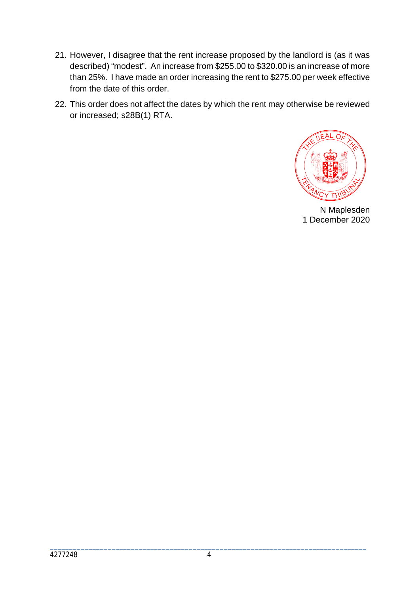- 21. However, I disagree that the rent increase proposed by the landlord is (as it was described) "modest". An increase from \$255.00 to \$320.00 is an increase of more than 25%. I have made an order increasing the rent to \$275.00 per week effective from the date of this order.
- 22. This order does not affect the dates by which the rent may otherwise be reviewed or increased; s28B(1) RTA.



N Maplesden 1 December 2020